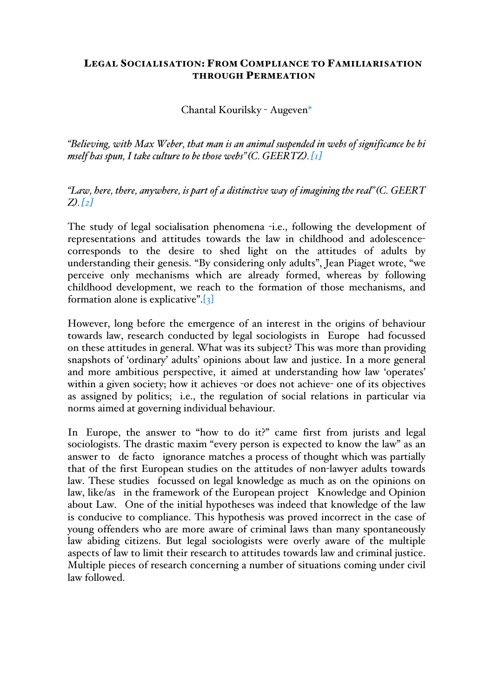#### LEGAL SOCIALISATION: FROM COMPLIANCE TO FAMILIARISATION THROUGH PERMEATION

Chantal Kourilsky - Augeven\*

*"Believing, with Max Weber, that man is an animal suspended in webs of significance he hi mself has spun, I take culture to be those webs"(C. GEERTZ).[1]*

*"Law, here, there, anywhere, is part of a distinctive way of imagining the real"(C. GEERT Z).[2]*

The study of legal socialisation phenomena -i.e., following the development of representations and attitudes towards the law in childhood and adolescencecorresponds to the desire to shed light on the attitudes of adults by understanding their genesis. "By considering only adults", Jean Piaget wrote, "we perceive only mechanisms which are already formed, whereas by following childhood development, we reach to the formation of those mechanisms, and formation alone is explicative". $\begin{bmatrix} 3 \end{bmatrix}$ 

However, long before the emergence of an interest in the origins of behaviour towards law, research conducted by legal sociologists in Europe had focussed on these attitudes in general. What was its subject? This was more than providing snapshots of 'ordinary' adults' opinions about law and justice. In a more general and more ambitious perspective, it aimed at understanding how law 'operates' within a given society; how it achieves -or does not achieve- one of its objectives as assigned by politics; i.e., the regulation of social relations in particular via norms aimed at governing individual behaviour.

In Europe, the answer to "how to do it?" came first from jurists and legal sociologists. The drastic maxim "every person is expected to know the law" as an answer to de facto ignorance matches a process of thought which was partially that of the first European studies on the attitudes of non-lawyer adults towards law. These studies focussed on legal knowledge as much as on the opinions on law, like/as in the framework of the European project Knowledge and Opinion about Law. One of the initial hypotheses was indeed that knowledge of the law is conducive to compliance. This hypothesis was proved incorrect in the case of young offenders who are more aware of criminal laws than many spontaneously law abiding citizens. But legal sociologists were overly aware of the multiple aspects of law to limit their research to attitudes towards law and criminal justice. Multiple pieces of research concerning a number of situations coming under civil law followed.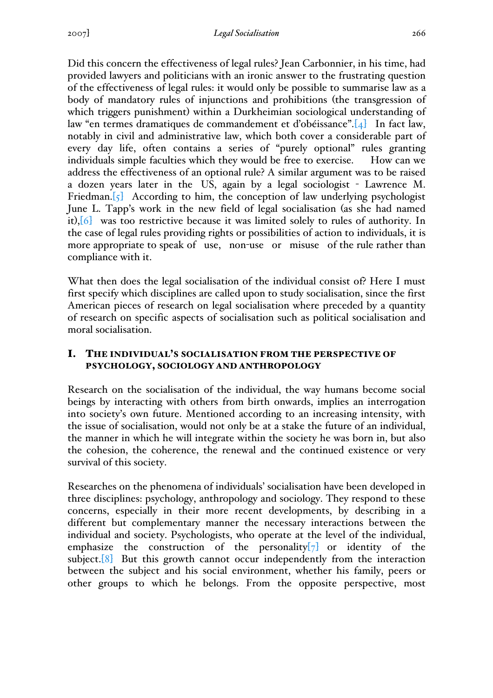Did this concern the effectiveness of legal rules? Jean Carbonnier, in his time, had provided lawyers and politicians with an ironic answer to the frustrating question of the effectiveness of legal rules: it would only be possible to summarise law as a body of mandatory rules of injunctions and prohibitions (the transgression of which triggers punishment) within a Durkheimian sociological understanding of law "en termes dramatiques de commandement et d'obéissance".[4] In fact law, notably in civil and administrative law, which both cover a considerable part of every day life, often contains a series of "purely optional" rules granting individuals simple faculties which they would be free to exercise. How can we address the effectiveness of an optional rule? A similar argument was to be raised a dozen years later in the US, again by a legal sociologist - Lawrence M. Friedman.[5] According to him, the conception of law underlying psychologist June L. Tapp's work in the new field of legal socialisation (as she had named it),[6] was too restrictive because it was limited solely to rules of authority. In the case of legal rules providing rights or possibilities of action to individuals, it is more appropriate to speak of use, non-use or misuse of the rule rather than compliance with it.

What then does the legal socialisation of the individual consist of? Here I must first specify which disciplines are called upon to study socialisation, since the first American pieces of research on legal socialisation where preceded by a quantity of research on specific aspects of socialisation such as political socialisation and moral socialisation.

# I. THE INDIVIDUAL'S SOCIALISATION FROM THE PERSPECTIVE OF PSYCHOLOGY, SOCIOLOGY AND ANTHROPOLOGY

Research on the socialisation of the individual, the way humans become social beings by interacting with others from birth onwards, implies an interrogation into society's own future. Mentioned according to an increasing intensity, with the issue of socialisation, would not only be at a stake the future of an individual, the manner in which he will integrate within the society he was born in, but also the cohesion, the coherence, the renewal and the continued existence or very survival of this society.

Researches on the phenomena of individuals' socialisation have been developed in three disciplines: psychology, anthropology and sociology. They respond to these concerns, especially in their more recent developments, by describing in a different but complementary manner the necessary interactions between the individual and society. Psychologists, who operate at the level of the individual, emphasize the construction of the personality $[\overline{7}]$  or identity of the subject.<sup>[8]</sup> But this growth cannot occur independently from the interaction between the subject and his social environment, whether his family, peers or other groups to which he belongs. From the opposite perspective, most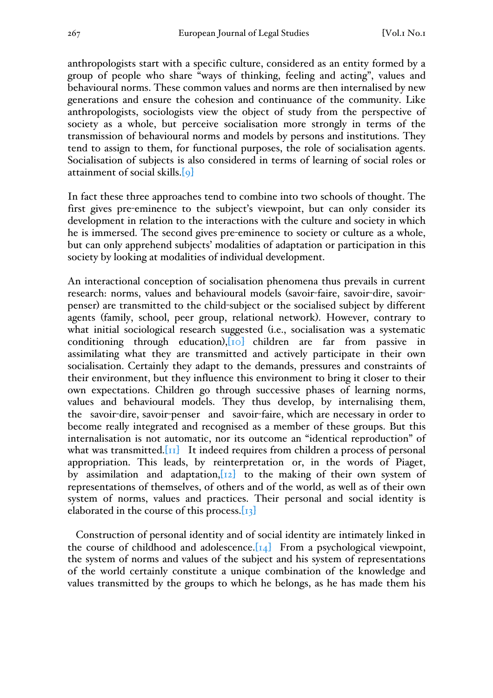anthropologists start with a specific culture, considered as an entity formed by a group of people who share "ways of thinking, feeling and acting", values and behavioural norms. These common values and norms are then internalised by new generations and ensure the cohesion and continuance of the community. Like anthropologists, sociologists view the object of study from the perspective of society as a whole, but perceive socialisation more strongly in terms of the transmission of behavioural norms and models by persons and institutions. They tend to assign to them, for functional purposes, the role of socialisation agents. Socialisation of subjects is also considered in terms of learning of social roles or attainment of social skills.[9]

In fact these three approaches tend to combine into two schools of thought. The first gives pre-eminence to the subject's viewpoint, but can only consider its development in relation to the interactions with the culture and society in which he is immersed. The second gives pre-eminence to society or culture as a whole, but can only apprehend subjects' modalities of adaptation or participation in this society by looking at modalities of individual development.

An interactional conception of socialisation phenomena thus prevails in current research: norms, values and behavioural models (savoir-faire, savoir-dire, savoirpenser) are transmitted to the child-subject or the socialised subject by different agents (family, school, peer group, relational network). However, contrary to what initial sociological research suggested (i.e., socialisation was a systematic conditioning through education), $[10]$  children are far from passive in assimilating what they are transmitted and actively participate in their own socialisation. Certainly they adapt to the demands, pressures and constraints of their environment, but they influence this environment to bring it closer to their own expectations. Children go through successive phases of learning norms, values and behavioural models. They thus develop, by internalising them, the savoir-dire, savoir-penser and savoir-faire, which are necessary in order to become really integrated and recognised as a member of these groups. But this internalisation is not automatic, nor its outcome an "identical reproduction" of what was transmitted. $\begin{bmatrix} 1 \end{bmatrix}$  It indeed requires from children a process of personal appropriation. This leads, by reinterpretation or, in the words of Piaget, by assimilation and adaptation,  $[x_2]$  to the making of their own system of representations of themselves, of others and of the world, as well as of their own system of norms, values and practices. Their personal and social identity is elaborated in the course of this process. $[13]$ 

Construction of personal identity and of social identity are intimately linked in the course of childhood and adolescence.  $\begin{bmatrix} 14 \end{bmatrix}$  From a psychological viewpoint, the system of norms and values of the subject and his system of representations of the world certainly constitute a unique combination of the knowledge and values transmitted by the groups to which he belongs, as he has made them his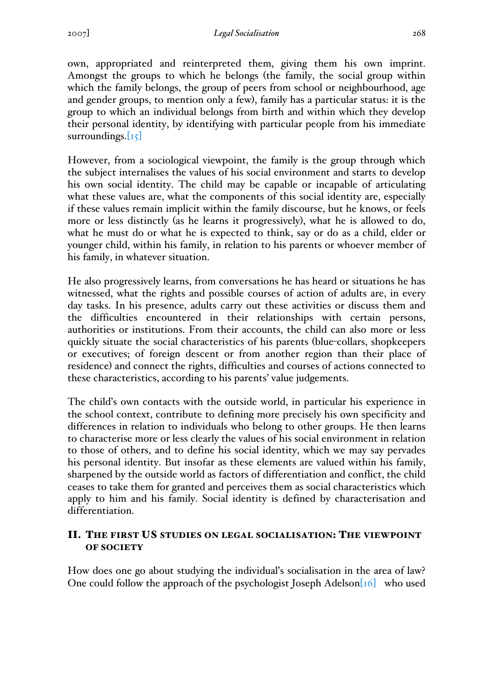own, appropriated and reinterpreted them, giving them his own imprint. Amongst the groups to which he belongs (the family, the social group within which the family belongs, the group of peers from school or neighbourhood, age and gender groups, to mention only a few), family has a particular status: it is the group to which an individual belongs from birth and within which they develop their personal identity, by identifying with particular people from his immediate surroundings. $[15]$ 

However, from a sociological viewpoint, the family is the group through which the subject internalises the values of his social environment and starts to develop his own social identity. The child may be capable or incapable of articulating what these values are, what the components of this social identity are, especially if these values remain implicit within the family discourse, but he knows, or feels more or less distinctly (as he learns it progressively), what he is allowed to do, what he must do or what he is expected to think, say or do as a child, elder or younger child, within his family, in relation to his parents or whoever member of his family, in whatever situation.

He also progressively learns, from conversations he has heard or situations he has witnessed, what the rights and possible courses of action of adults are, in every day tasks. In his presence, adults carry out these activities or discuss them and the difficulties encountered in their relationships with certain persons, authorities or institutions. From their accounts, the child can also more or less quickly situate the social characteristics of his parents (blue-collars, shopkeepers or executives; of foreign descent or from another region than their place of residence) and connect the rights, difficulties and courses of actions connected to these characteristics, according to his parents' value judgements.

The child's own contacts with the outside world, in particular his experience in the school context, contribute to defining more precisely his own specificity and differences in relation to individuals who belong to other groups. He then learns to characterise more or less clearly the values of his social environment in relation to those of others, and to define his social identity, which we may say pervades his personal identity. But insofar as these elements are valued within his family, sharpened by the outside world as factors of differentiation and conflict, the child ceases to take them for granted and perceives them as social characteristics which apply to him and his family. Social identity is defined by characterisation and differentiation.

# II. THE FIRST US STUDIES ON LEGAL SOCIALISATION: THE VIEWPOINT OF SOCIETY

How does one go about studying the individual's socialisation in the area of law? One could follow the approach of the psychologist Joseph Adelson[16] who used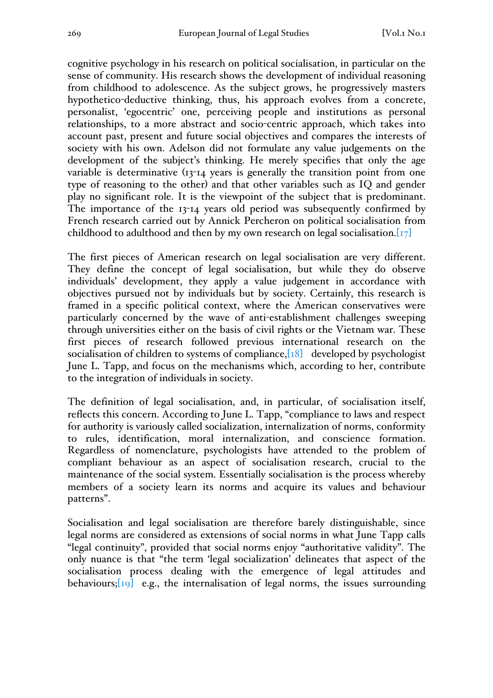cognitive psychology in his research on political socialisation, in particular on the sense of community. His research shows the development of individual reasoning from childhood to adolescence. As the subject grows, he progressively masters hypothetico-deductive thinking, thus, his approach evolves from a concrete, personalist, 'egocentric' one, perceiving people and institutions as personal relationships, to a more abstract and socio-centric approach, which takes into account past, present and future social objectives and compares the interests of society with his own. Adelson did not formulate any value judgements on the development of the subject's thinking. He merely specifies that only the age variable is determinative (13-14 years is generally the transition point from one type of reasoning to the other) and that other variables such as IQ and gender play no significant role. It is the viewpoint of the subject that is predominant. The importance of the 13-14 years old period was subsequently confirmed by French research carried out by Annick Percheron on political socialisation from childhood to adulthood and then by my own research on legal socialisation.  $\left[\frac{17}{2}\right]$ 

The first pieces of American research on legal socialisation are very different. They define the concept of legal socialisation, but while they do observe individuals' development, they apply a value judgement in accordance with objectives pursued not by individuals but by society. Certainly, this research is framed in a specific political context, where the American conservatives were particularly concerned by the wave of anti-establishment challenges sweeping through universities either on the basis of civil rights or the Vietnam war. These first pieces of research followed previous international research on the socialisation of children to systems of compliance, $[18]$  developed by psychologist June L. Tapp, and focus on the mechanisms which, according to her, contribute to the integration of individuals in society.

The definition of legal socialisation, and, in particular, of socialisation itself, reflects this concern. According to June L. Tapp, "compliance to laws and respect for authority is variously called socialization, internalization of norms, conformity to rules, identification, moral internalization, and conscience formation. Regardless of nomenclature, psychologists have attended to the problem of compliant behaviour as an aspect of socialisation research, crucial to the maintenance of the social system. Essentially socialisation is the process whereby members of a society learn its norms and acquire its values and behaviour patterns".

Socialisation and legal socialisation are therefore barely distinguishable, since legal norms are considered as extensions of social norms in what June Tapp calls "legal continuity", provided that social norms enjoy "authoritative validity". The only nuance is that "the term 'legal socialization' delineates that aspect of the socialisation process dealing with the emergence of legal attitudes and behaviours; $\lceil \log_2$  e.g., the internalisation of legal norms, the issues surrounding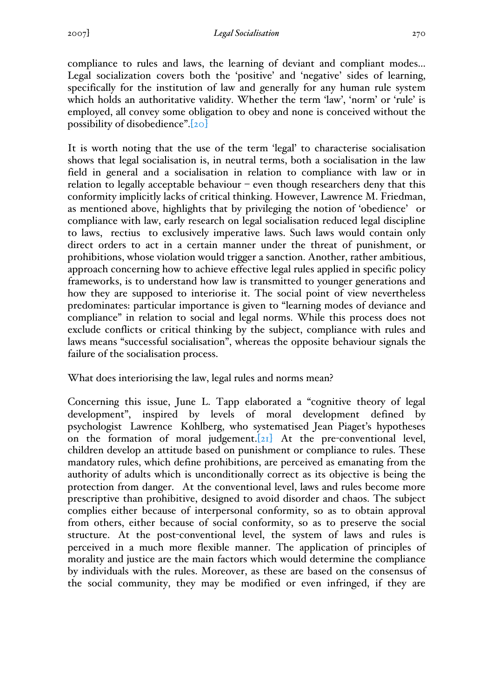compliance to rules and laws, the learning of deviant and compliant modes... Legal socialization covers both the 'positive' and 'negative' sides of learning, specifically for the institution of law and generally for any human rule system which holds an authoritative validity. Whether the term 'law', 'norm' or 'rule' is employed, all convey some obligation to obey and none is conceived without the possibility of disobedience".[20]

It is worth noting that the use of the term 'legal' to characterise socialisation shows that legal socialisation is, in neutral terms, both a socialisation in the law field in general and a socialisation in relation to compliance with law or in relation to legally acceptable behaviour – even though researchers deny that this conformity implicitly lacks of critical thinking. However, Lawrence M. Friedman, as mentioned above, highlights that by privileging the notion of 'obedience' or compliance with law, early research on legal socialisation reduced legal discipline to laws, rectius to exclusively imperative laws. Such laws would contain only direct orders to act in a certain manner under the threat of punishment, or prohibitions, whose violation would trigger a sanction. Another, rather ambitious, approach concerning how to achieve effective legal rules applied in specific policy frameworks, is to understand how law is transmitted to younger generations and how they are supposed to interiorise it. The social point of view nevertheless predominates: particular importance is given to "learning modes of deviance and compliance" in relation to social and legal norms. While this process does not exclude conflicts or critical thinking by the subject, compliance with rules and laws means "successful socialisation", whereas the opposite behaviour signals the failure of the socialisation process.

What does interiorising the law, legal rules and norms mean?

Concerning this issue, June L. Tapp elaborated a "cognitive theory of legal development", inspired by levels of moral development defined by psychologist Lawrence Kohlberg, who systematised Jean Piaget's hypotheses on the formation of moral judgement.[21] At the pre-conventional level, children develop an attitude based on punishment or compliance to rules. These mandatory rules, which define prohibitions, are perceived as emanating from the authority of adults which is unconditionally correct as its objective is being the protection from danger. At the conventional level, laws and rules become more prescriptive than prohibitive, designed to avoid disorder and chaos. The subject complies either because of interpersonal conformity, so as to obtain approval from others, either because of social conformity, so as to preserve the social structure. At the post-conventional level, the system of laws and rules is perceived in a much more flexible manner. The application of principles of morality and justice are the main factors which would determine the compliance by individuals with the rules. Moreover, as these are based on the consensus of the social community, they may be modified or even infringed, if they are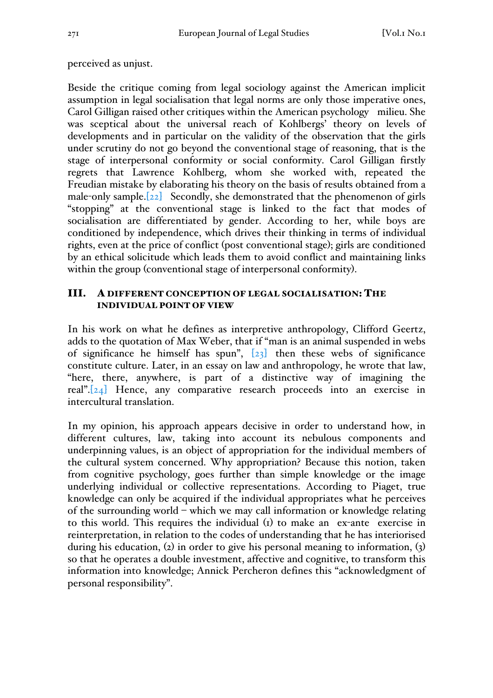## perceived as unjust.

Beside the critique coming from legal sociology against the American implicit assumption in legal socialisation that legal norms are only those imperative ones, Carol Gilligan raised other critiques within the American psychology milieu. She was sceptical about the universal reach of Kohlbergs' theory on levels of developments and in particular on the validity of the observation that the girls under scrutiny do not go beyond the conventional stage of reasoning, that is the stage of interpersonal conformity or social conformity. Carol Gilligan firstly regrets that Lawrence Kohlberg, whom she worked with, repeated the Freudian mistake by elaborating his theory on the basis of results obtained from a male-only sample.<sup>[22]</sup> Secondly, she demonstrated that the phenomenon of girls "stopping" at the conventional stage is linked to the fact that modes of socialisation are differentiated by gender. According to her, while boys are conditioned by independence, which drives their thinking in terms of individual rights, even at the price of conflict (post conventional stage); girls are conditioned by an ethical solicitude which leads them to avoid conflict and maintaining links within the group (conventional stage of interpersonal conformity).

## III. A DIFFERENT CONCEPTION OF LEGAL SOCIALISATION: THE INDIVIDUAL POINT OF VIEW

In his work on what he defines as interpretive anthropology, Clifford Geertz, adds to the quotation of Max Weber, that if "man is an animal suspended in webs of significance he himself has spun",  $[23]$  then these webs of significance constitute culture. Later, in an essay on law and anthropology, he wrote that law, "here, there, anywhere, is part of a distinctive way of imagining the real".[24] Hence, any comparative research proceeds into an exercise in intercultural translation.

In my opinion, his approach appears decisive in order to understand how, in different cultures, law, taking into account its nebulous components and underpinning values, is an object of appropriation for the individual members of the cultural system concerned. Why appropriation? Because this notion, taken from cognitive psychology, goes further than simple knowledge or the image underlying individual or collective representations. According to Piaget, true knowledge can only be acquired if the individual appropriates what he perceives of the surrounding world – which we may call information or knowledge relating to this world. This requires the individual (1) to make an ex-ante exercise in reinterpretation, in relation to the codes of understanding that he has interiorised during his education,  $(2)$  in order to give his personal meaning to information,  $(3)$ so that he operates a double investment, affective and cognitive, to transform this information into knowledge; Annick Percheron defines this "acknowledgment of personal responsibility".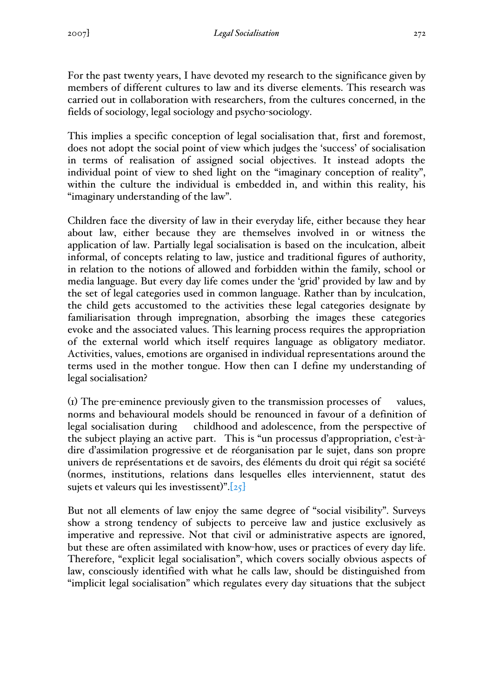For the past twenty years, I have devoted my research to the significance given by members of different cultures to law and its diverse elements. This research was carried out in collaboration with researchers, from the cultures concerned, in the fields of sociology, legal sociology and psycho-sociology.

This implies a specific conception of legal socialisation that, first and foremost, does not adopt the social point of view which judges the 'success' of socialisation in terms of realisation of assigned social objectives. It instead adopts the individual point of view to shed light on the "imaginary conception of reality", within the culture the individual is embedded in, and within this reality, his "imaginary understanding of the law".

Children face the diversity of law in their everyday life, either because they hear about law, either because they are themselves involved in or witness the application of law. Partially legal socialisation is based on the inculcation, albeit informal, of concepts relating to law, justice and traditional figures of authority, in relation to the notions of allowed and forbidden within the family, school or media language. But every day life comes under the 'grid' provided by law and by the set of legal categories used in common language. Rather than by inculcation, the child gets accustomed to the activities these legal categories designate by familiarisation through impregnation, absorbing the images these categories evoke and the associated values. This learning process requires the appropriation of the external world which itself requires language as obligatory mediator. Activities, values, emotions are organised in individual representations around the terms used in the mother tongue. How then can I define my understanding of legal socialisation?

(1) The pre-eminence previously given to the transmission processes of values, norms and behavioural models should be renounced in favour of a definition of legal socialisation during childhood and adolescence, from the perspective of the subject playing an active part. This is "un processus d'appropriation, c'est-àdire d'assimilation progressive et de réorganisation par le sujet, dans son propre univers de représentations et de savoirs, des éléments du droit qui régit sa société (normes, institutions, relations dans lesquelles elles interviennent, statut des sujets et valeurs qui les investissent)".[25]

But not all elements of law enjoy the same degree of "social visibility". Surveys show a strong tendency of subjects to perceive law and justice exclusively as imperative and repressive. Not that civil or administrative aspects are ignored, but these are often assimilated with know-how, uses or practices of every day life. Therefore, "explicit legal socialisation", which covers socially obvious aspects of law, consciously identified with what he calls law, should be distinguished from "implicit legal socialisation" which regulates every day situations that the subject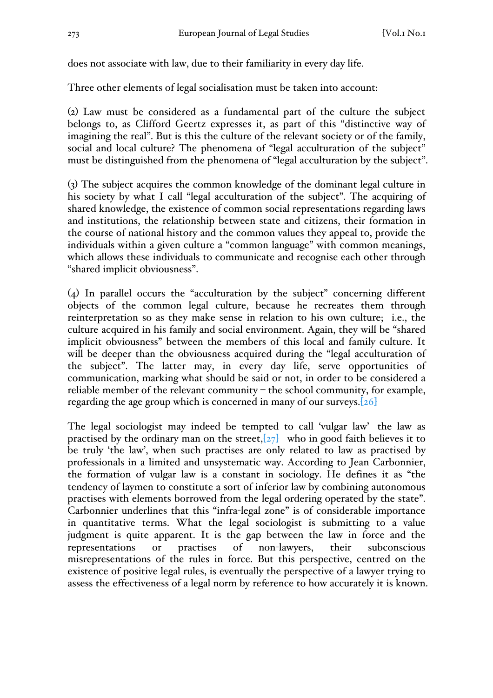does not associate with law, due to their familiarity in every day life.

Three other elements of legal socialisation must be taken into account:

(2) Law must be considered as a fundamental part of the culture the subject belongs to, as Clifford Geertz expresses it, as part of this "distinctive way of imagining the real". But is this the culture of the relevant society or of the family, social and local culture? The phenomena of "legal acculturation of the subject" must be distinguished from the phenomena of "legal acculturation by the subject".

(3) The subject acquires the common knowledge of the dominant legal culture in his society by what I call "legal acculturation of the subject". The acquiring of shared knowledge, the existence of common social representations regarding laws and institutions, the relationship between state and citizens, their formation in the course of national history and the common values they appeal to, provide the individuals within a given culture a "common language" with common meanings, which allows these individuals to communicate and recognise each other through "shared implicit obviousness".

(4) In parallel occurs the "acculturation by the subject" concerning different objects of the common legal culture, because he recreates them through reinterpretation so as they make sense in relation to his own culture; i.e., the culture acquired in his family and social environment. Again, they will be "shared implicit obviousness" between the members of this local and family culture. It will be deeper than the obviousness acquired during the "legal acculturation of the subject". The latter may, in every day life, serve opportunities of communication, marking what should be said or not, in order to be considered a reliable member of the relevant community – the school community, for example, regarding the age group which is concerned in many of our surveys.[26]

The legal sociologist may indeed be tempted to call 'vulgar law' the law as practised by the ordinary man on the street, $[27]$  who in good faith believes it to be truly 'the law', when such practises are only related to law as practised by professionals in a limited and unsystematic way. According to Jean Carbonnier, the formation of vulgar law is a constant in sociology. He defines it as "the tendency of laymen to constitute a sort of inferior law by combining autonomous practises with elements borrowed from the legal ordering operated by the state". Carbonnier underlines that this "infra-legal zone" is of considerable importance in quantitative terms. What the legal sociologist is submitting to a value judgment is quite apparent. It is the gap between the law in force and the representations or practises of non-lawyers, their subconscious misrepresentations of the rules in force. But this perspective, centred on the existence of positive legal rules, is eventually the perspective of a lawyer trying to assess the effectiveness of a legal norm by reference to how accurately it is known.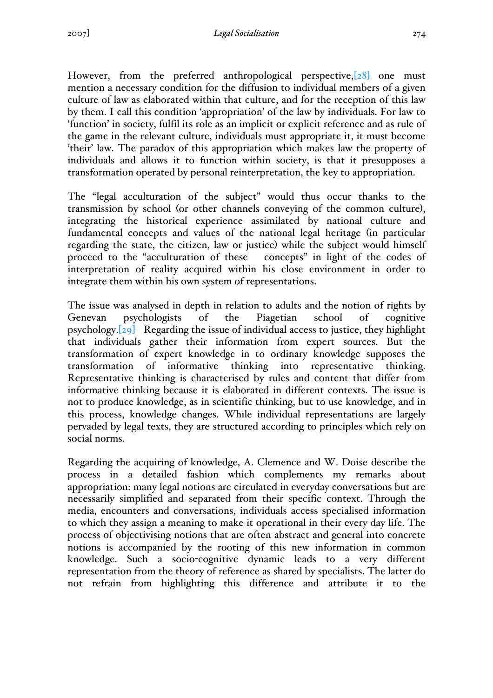However, from the preferred anthropological perspective, [28] one must mention a necessary condition for the diffusion to individual members of a given culture of law as elaborated within that culture, and for the reception of this law by them. I call this condition 'appropriation' of the law by individuals. For law to 'function' in society, fulfil its role as an implicit or explicit reference and as rule of the game in the relevant culture, individuals must appropriate it, it must become 'their' law. The paradox of this appropriation which makes law the property of individuals and allows it to function within society, is that it presupposes a transformation operated by personal reinterpretation, the key to appropriation.

The "legal acculturation of the subject" would thus occur thanks to the transmission by school (or other channels conveying of the common culture), integrating the historical experience assimilated by national culture and fundamental concepts and values of the national legal heritage (in particular regarding the state, the citizen, law or justice) while the subject would himself proceed to the "acculturation of these concepts" in light of the codes of interpretation of reality acquired within his close environment in order to integrate them within his own system of representations.

The issue was analysed in depth in relation to adults and the notion of rights by Genevan psychologists of the Piagetian school of cognitive psychology.[29] Regarding the issue of individual access to justice, they highlight that individuals gather their information from expert sources. But the transformation of expert knowledge in to ordinary knowledge supposes the transformation of informative thinking into representative thinking. Representative thinking is characterised by rules and content that differ from informative thinking because it is elaborated in different contexts. The issue is not to produce knowledge, as in scientific thinking, but to use knowledge, and in this process, knowledge changes. While individual representations are largely pervaded by legal texts, they are structured according to principles which rely on social norms.

Regarding the acquiring of knowledge, A. Clemence and W. Doise describe the process in a detailed fashion which complements my remarks about appropriation: many legal notions are circulated in everyday conversations but are necessarily simplified and separated from their specific context. Through the media, encounters and conversations, individuals access specialised information to which they assign a meaning to make it operational in their every day life. The process of objectivising notions that are often abstract and general into concrete notions is accompanied by the rooting of this new information in common knowledge. Such a socio-cognitive dynamic leads to a very different representation from the theory of reference as shared by specialists. The latter do not refrain from highlighting this difference and attribute it to the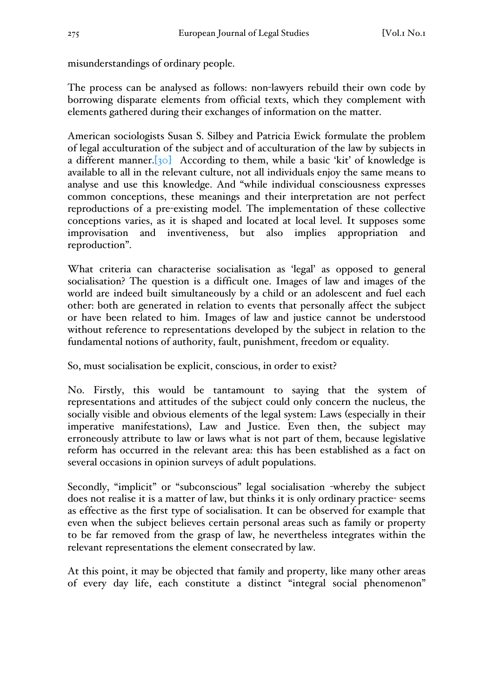misunderstandings of ordinary people.

The process can be analysed as follows: non-lawyers rebuild their own code by borrowing disparate elements from official texts, which they complement with elements gathered during their exchanges of information on the matter.

American sociologists Susan S. Silbey and Patricia Ewick formulate the problem of legal acculturation of the subject and of acculturation of the law by subjects in a different manner.  $[30]$  According to them, while a basic 'kit' of knowledge is available to all in the relevant culture, not all individuals enjoy the same means to analyse and use this knowledge. And "while individual consciousness expresses common conceptions, these meanings and their interpretation are not perfect reproductions of a pre-existing model. The implementation of these collective conceptions varies, as it is shaped and located at local level. It supposes some improvisation and inventiveness, but also implies appropriation and reproduction".

What criteria can characterise socialisation as 'legal' as opposed to general socialisation? The question is a difficult one. Images of law and images of the world are indeed built simultaneously by a child or an adolescent and fuel each other: both are generated in relation to events that personally affect the subject or have been related to him. Images of law and justice cannot be understood without reference to representations developed by the subject in relation to the fundamental notions of authority, fault, punishment, freedom or equality.

So, must socialisation be explicit, conscious, in order to exist?

No. Firstly, this would be tantamount to saying that the system of representations and attitudes of the subject could only concern the nucleus, the socially visible and obvious elements of the legal system: Laws (especially in their imperative manifestations), Law and Justice. Even then, the subject may erroneously attribute to law or laws what is not part of them, because legislative reform has occurred in the relevant area: this has been established as a fact on several occasions in opinion surveys of adult populations.

Secondly, "implicit" or "subconscious" legal socialisation -whereby the subject does not realise it is a matter of law, but thinks it is only ordinary practice- seems as effective as the first type of socialisation. It can be observed for example that even when the subject believes certain personal areas such as family or property to be far removed from the grasp of law, he nevertheless integrates within the relevant representations the element consecrated by law.

At this point, it may be objected that family and property, like many other areas of every day life, each constitute a distinct "integral social phenomenon"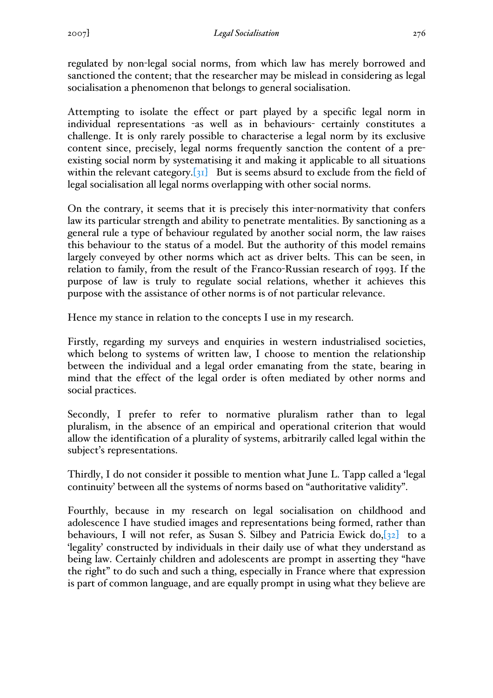regulated by non-legal social norms, from which law has merely borrowed and sanctioned the content; that the researcher may be mislead in considering as legal socialisation a phenomenon that belongs to general socialisation.

Attempting to isolate the effect or part played by a specific legal norm in individual representations -as well as in behaviours- certainly constitutes a challenge. It is only rarely possible to characterise a legal norm by its exclusive content since, precisely, legal norms frequently sanction the content of a preexisting social norm by systematising it and making it applicable to all situations within the relevant category. $[31]$  But is seems absurd to exclude from the field of legal socialisation all legal norms overlapping with other social norms.

On the contrary, it seems that it is precisely this inter-normativity that confers law its particular strength and ability to penetrate mentalities. By sanctioning as a general rule a type of behaviour regulated by another social norm, the law raises this behaviour to the status of a model. But the authority of this model remains largely conveyed by other norms which act as driver belts. This can be seen, in relation to family, from the result of the Franco-Russian research of 1993. If the purpose of law is truly to regulate social relations, whether it achieves this purpose with the assistance of other norms is of not particular relevance.

Hence my stance in relation to the concepts I use in my research.

Firstly, regarding my surveys and enquiries in western industrialised societies, which belong to systems of written law, I choose to mention the relationship between the individual and a legal order emanating from the state, bearing in mind that the effect of the legal order is often mediated by other norms and social practices.

Secondly, I prefer to refer to normative pluralism rather than to legal pluralism, in the absence of an empirical and operational criterion that would allow the identification of a plurality of systems, arbitrarily called legal within the subject's representations.

Thirdly, I do not consider it possible to mention what June L. Tapp called a 'legal continuity' between all the systems of norms based on "authoritative validity".

Fourthly, because in my research on legal socialisation on childhood and adolescence I have studied images and representations being formed, rather than behaviours, I will not refer, as Susan S. Silbey and Patricia Ewick  $d\sigma$ ,  $[32]$  to a 'legality' constructed by individuals in their daily use of what they understand as being law. Certainly children and adolescents are prompt in asserting they "have the right" to do such and such a thing, especially in France where that expression is part of common language, and are equally prompt in using what they believe are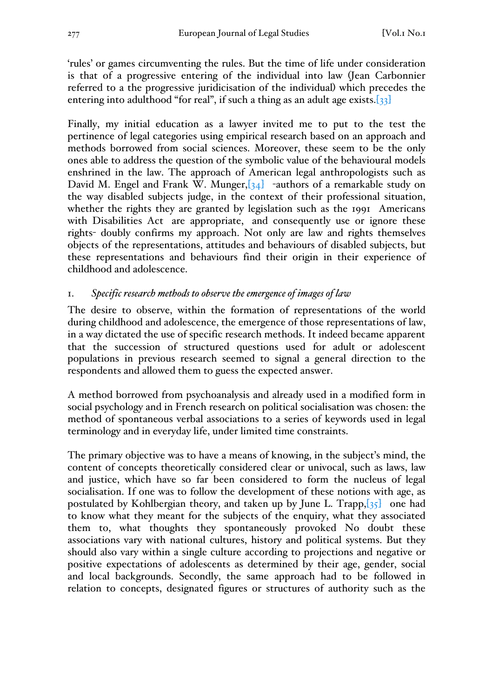'rules' or games circumventing the rules. But the time of life under consideration is that of a progressive entering of the individual into law (Jean Carbonnier referred to a the progressive juridicisation of the individual) which precedes the entering into adulthood "for real", if such a thing as an adult age exists.[33]

Finally, my initial education as a lawyer invited me to put to the test the pertinence of legal categories using empirical research based on an approach and methods borrowed from social sciences. Moreover, these seem to be the only ones able to address the question of the symbolic value of the behavioural models enshrined in the law. The approach of American legal anthropologists such as David M. Engel and Frank W. Munger,  $[34]$  -authors of a remarkable study on the way disabled subjects judge, in the context of their professional situation, whether the rights they are granted by legislation such as the 1991 Americans with Disabilities Act are appropriate, and consequently use or ignore these rights- doubly confirms my approach. Not only are law and rights themselves objects of the representations, attitudes and behaviours of disabled subjects, but these representations and behaviours find their origin in their experience of childhood and adolescence.

# 1. *Specific research methods to observe the emergence of images of law*

The desire to observe, within the formation of representations of the world during childhood and adolescence, the emergence of those representations of law, in a way dictated the use of specific research methods. It indeed became apparent that the succession of structured questions used for adult or adolescent populations in previous research seemed to signal a general direction to the respondents and allowed them to guess the expected answer.

A method borrowed from psychoanalysis and already used in a modified form in social psychology and in French research on political socialisation was chosen: the method of spontaneous verbal associations to a series of keywords used in legal terminology and in everyday life, under limited time constraints.

The primary objective was to have a means of knowing, in the subject's mind, the content of concepts theoretically considered clear or univocal, such as laws, law and justice, which have so far been considered to form the nucleus of legal socialisation. If one was to follow the development of these notions with age, as postulated by Kohlbergian theory, and taken up by June L. Trapp,  $\left[35\right]$  one had to know what they meant for the subjects of the enquiry, what they associated them to, what thoughts they spontaneously provoked No doubt these associations vary with national cultures, history and political systems. But they should also vary within a single culture according to projections and negative or positive expectations of adolescents as determined by their age, gender, social and local backgrounds. Secondly, the same approach had to be followed in relation to concepts, designated figures or structures of authority such as the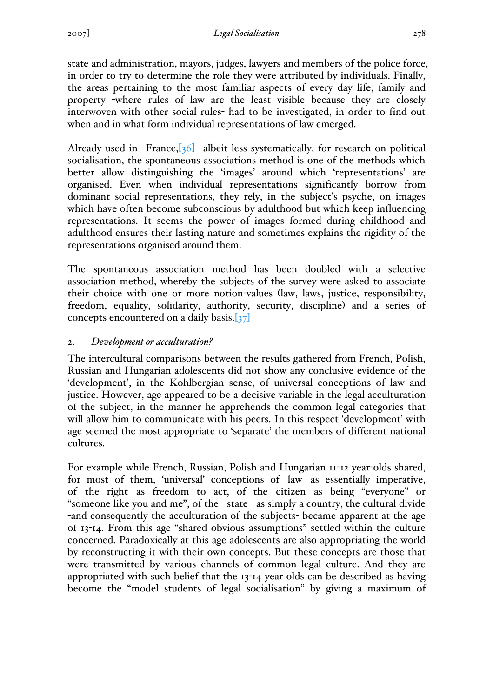state and administration, mayors, judges, lawyers and members of the police force, in order to try to determine the role they were attributed by individuals. Finally, the areas pertaining to the most familiar aspects of every day life, family and property -where rules of law are the least visible because they are closely interwoven with other social rules- had to be investigated, in order to find out when and in what form individual representations of law emerged.

Already used in France, $\left[36\right]$  albeit less systematically, for research on political socialisation, the spontaneous associations method is one of the methods which better allow distinguishing the 'images' around which 'representations' are organised. Even when individual representations significantly borrow from dominant social representations, they rely, in the subject's psyche, on images which have often become subconscious by adulthood but which keep influencing representations. It seems the power of images formed during childhood and adulthood ensures their lasting nature and sometimes explains the rigidity of the representations organised around them.

The spontaneous association method has been doubled with a selective association method, whereby the subjects of the survey were asked to associate their choice with one or more notion-values (law, laws, justice, responsibility, freedom, equality, solidarity, authority, security, discipline) and a series of concepts encountered on a daily basis.[37]

# 2. *Development or acculturation?*

The intercultural comparisons between the results gathered from French, Polish, Russian and Hungarian adolescents did not show any conclusive evidence of the 'development', in the Kohlbergian sense, of universal conceptions of law and justice. However, age appeared to be a decisive variable in the legal acculturation of the subject, in the manner he apprehends the common legal categories that will allow him to communicate with his peers. In this respect 'development' with age seemed the most appropriate to 'separate' the members of different national cultures.

For example while French, Russian, Polish and Hungarian 11-12 year-olds shared, for most of them, 'universal' conceptions of law as essentially imperative, of the right as freedom to act, of the citizen as being "everyone" or "someone like you and me", of the state as simply a country, the cultural divide -and consequently the acculturation of the subjects- became apparent at the age of 13-14. From this age "shared obvious assumptions" settled within the culture concerned. Paradoxically at this age adolescents are also appropriating the world by reconstructing it with their own concepts. But these concepts are those that were transmitted by various channels of common legal culture. And they are appropriated with such belief that the 13-14 year olds can be described as having become the "model students of legal socialisation" by giving a maximum of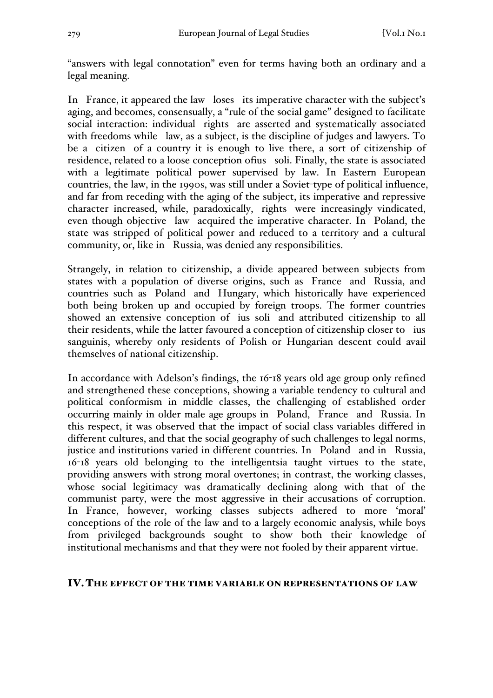"answers with legal connotation" even for terms having both an ordinary and a legal meaning.

In France, it appeared the law loses its imperative character with the subject's aging, and becomes, consensually, a "rule of the social game" designed to facilitate social interaction: individual rights are asserted and systematically associated with freedoms while law, as a subject, is the discipline of judges and lawyers. To be a citizen of a country it is enough to live there, a sort of citizenship of residence, related to a loose conception ofius soli. Finally, the state is associated with a legitimate political power supervised by law. In Eastern European countries, the law, in the 1990s, was still under a Soviet-type of political influence, and far from receding with the aging of the subject, its imperative and repressive character increased, while, paradoxically, rights were increasingly vindicated, even though objective law acquired the imperative character. In Poland, the state was stripped of political power and reduced to a territory and a cultural community, or, like in Russia, was denied any responsibilities.

Strangely, in relation to citizenship, a divide appeared between subjects from states with a population of diverse origins, such as France and Russia, and countries such as Poland and Hungary, which historically have experienced both being broken up and occupied by foreign troops. The former countries showed an extensive conception of ius soli and attributed citizenship to all their residents, while the latter favoured a conception of citizenship closer to ius sanguinis, whereby only residents of Polish or Hungarian descent could avail themselves of national citizenship.

In accordance with Adelson's findings, the 16-18 years old age group only refined and strengthened these conceptions, showing a variable tendency to cultural and political conformism in middle classes, the challenging of established order occurring mainly in older male age groups in Poland, France and Russia. In this respect, it was observed that the impact of social class variables differed in different cultures, and that the social geography of such challenges to legal norms, justice and institutions varied in different countries. In Poland and in Russia, 16-18 years old belonging to the intelligentsia taught virtues to the state, providing answers with strong moral overtones; in contrast, the working classes, whose social legitimacy was dramatically declining along with that of the communist party, were the most aggressive in their accusations of corruption. In France, however, working classes subjects adhered to more 'moral' conceptions of the role of the law and to a largely economic analysis, while boys from privileged backgrounds sought to show both their knowledge of institutional mechanisms and that they were not fooled by their apparent virtue.

## IV.THE EFFECT OF THE TIME VARIABLE ON REPRESENTATIONS OF LAW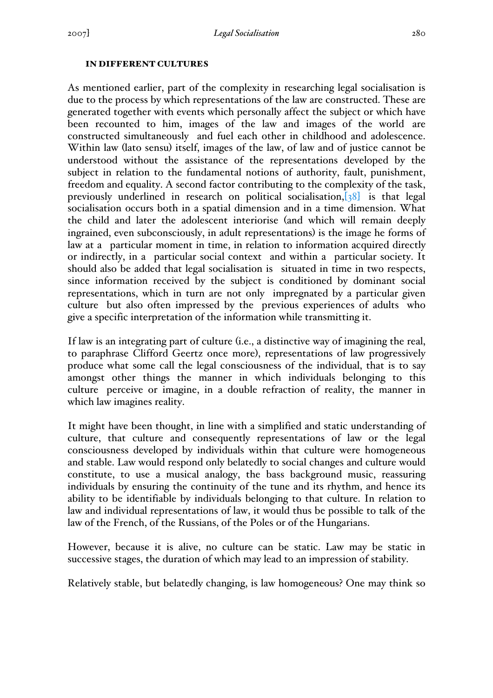#### IN DIFFERENT CULTURES

As mentioned earlier, part of the complexity in researching legal socialisation is due to the process by which representations of the law are constructed. These are generated together with events which personally affect the subject or which have been recounted to him, images of the law and images of the world are constructed simultaneously and fuel each other in childhood and adolescence. Within law (lato sensu) itself, images of the law, of law and of justice cannot be understood without the assistance of the representations developed by the subject in relation to the fundamental notions of authority, fault, punishment, freedom and equality. A second factor contributing to the complexity of the task, previously underlined in research on political socialisation,[38] is that legal socialisation occurs both in a spatial dimension and in a time dimension. What the child and later the adolescent interiorise (and which will remain deeply ingrained, even subconsciously, in adult representations) is the image he forms of law at a particular moment in time, in relation to information acquired directly or indirectly, in a particular social context and within a particular society. It should also be added that legal socialisation is situated in time in two respects, since information received by the subject is conditioned by dominant social representations, which in turn are not only impregnated by a particular given culture but also often impressed by the previous experiences of adults who give a specific interpretation of the information while transmitting it.

If law is an integrating part of culture (i.e., a distinctive way of imagining the real, to paraphrase Clifford Geertz once more), representations of law progressively produce what some call the legal consciousness of the individual, that is to say amongst other things the manner in which individuals belonging to this culture perceive or imagine, in a double refraction of reality, the manner in which law imagines reality.

It might have been thought, in line with a simplified and static understanding of culture, that culture and consequently representations of law or the legal consciousness developed by individuals within that culture were homogeneous and stable. Law would respond only belatedly to social changes and culture would constitute, to use a musical analogy, the bass background music, reassuring individuals by ensuring the continuity of the tune and its rhythm, and hence its ability to be identifiable by individuals belonging to that culture. In relation to law and individual representations of law, it would thus be possible to talk of the law of the French, of the Russians, of the Poles or of the Hungarians.

However, because it is alive, no culture can be static. Law may be static in successive stages, the duration of which may lead to an impression of stability.

Relatively stable, but belatedly changing, is law homogeneous? One may think so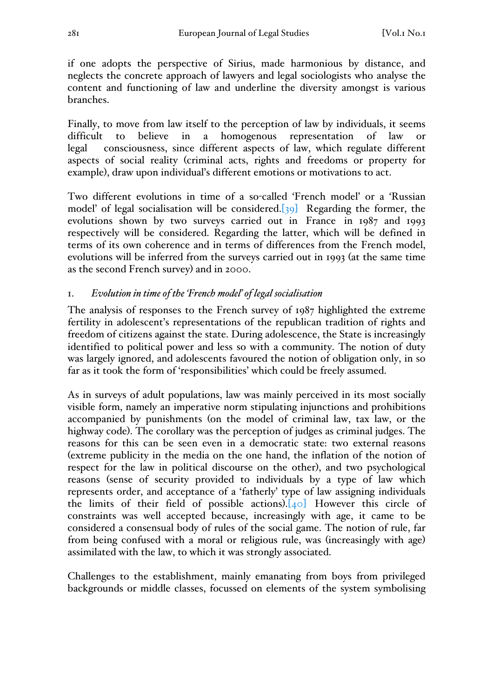if one adopts the perspective of Sirius, made harmonious by distance, and neglects the concrete approach of lawyers and legal sociologists who analyse the content and functioning of law and underline the diversity amongst is various branches.

Finally, to move from law itself to the perception of law by individuals, it seems difficult to believe in a homogenous representation of law or legal consciousness, since different aspects of law, which regulate different aspects of social reality (criminal acts, rights and freedoms or property for example), draw upon individual's different emotions or motivations to act.

Two different evolutions in time of a so-called 'French model' or a 'Russian model' of legal socialisation will be considered. $[39]$  Regarding the former, the evolutions shown by two surveys carried out in France in 1987 and 1993 respectively will be considered. Regarding the latter, which will be defined in terms of its own coherence and in terms of differences from the French model, evolutions will be inferred from the surveys carried out in 1993 (at the same time as the second French survey) and in 2000.

# 1. *Evolution in time of the 'French model' of legal socialisation*

The analysis of responses to the French survey of 1987 highlighted the extreme fertility in adolescent's representations of the republican tradition of rights and freedom of citizens against the state. During adolescence, the State is increasingly identified to political power and less so with a community. The notion of duty was largely ignored, and adolescents favoured the notion of obligation only, in so far as it took the form of 'responsibilities' which could be freely assumed.

As in surveys of adult populations, law was mainly perceived in its most socially visible form, namely an imperative norm stipulating injunctions and prohibitions accompanied by punishments (on the model of criminal law, tax law, or the highway code). The corollary was the perception of judges as criminal judges. The reasons for this can be seen even in a democratic state: two external reasons (extreme publicity in the media on the one hand, the inflation of the notion of respect for the law in political discourse on the other), and two psychological reasons (sense of security provided to individuals by a type of law which represents order, and acceptance of a 'fatherly' type of law assigning individuals the limits of their field of possible actions). $[40]$  However this circle of constraints was well accepted because, increasingly with age, it came to be considered a consensual body of rules of the social game. The notion of rule, far from being confused with a moral or religious rule, was (increasingly with age) assimilated with the law, to which it was strongly associated.

Challenges to the establishment, mainly emanating from boys from privileged backgrounds or middle classes, focussed on elements of the system symbolising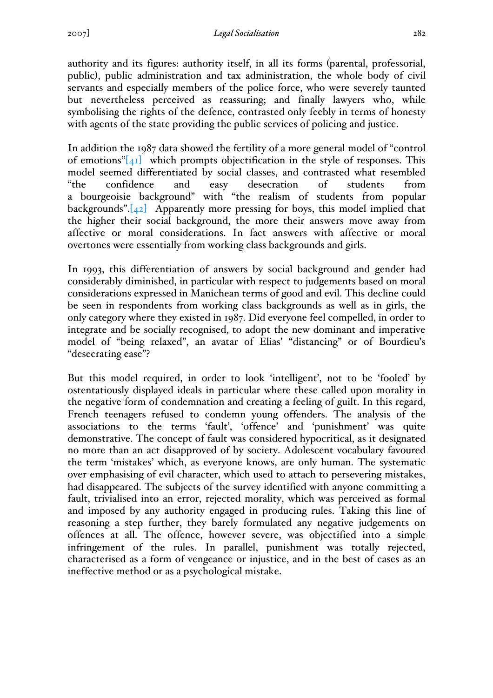authority and its figures: authority itself, in all its forms (parental, professorial, public), public administration and tax administration, the whole body of civil servants and especially members of the police force, who were severely taunted but nevertheless perceived as reassuring; and finally lawyers who, while symbolising the rights of the defence, contrasted only feebly in terms of honesty with agents of the state providing the public services of policing and justice.

In addition the 1987 data showed the fertility of a more general model of "control of emotions" $[41]$  which prompts objectification in the style of responses. This model seemed differentiated by social classes, and contrasted what resembled "the confidence and easy desecration of students from a bourgeoisie background" with "the realism of students from popular backgrounds".[42] Apparently more pressing for boys, this model implied that the higher their social background, the more their answers move away from affective or moral considerations. In fact answers with affective or moral overtones were essentially from working class backgrounds and girls.

In 1993, this differentiation of answers by social background and gender had considerably diminished, in particular with respect to judgements based on moral considerations expressed in Manichean terms of good and evil. This decline could be seen in respondents from working class backgrounds as well as in girls, the only category where they existed in 1987. Did everyone feel compelled, in order to integrate and be socially recognised, to adopt the new dominant and imperative model of "being relaxed", an avatar of Elias' "distancing" or of Bourdieu's "desecrating ease"?

But this model required, in order to look 'intelligent', not to be 'fooled' by ostentatiously displayed ideals in particular where these called upon morality in the negative form of condemnation and creating a feeling of guilt. In this regard, French teenagers refused to condemn young offenders. The analysis of the associations to the terms 'fault', 'offence' and 'punishment' was quite demonstrative. The concept of fault was considered hypocritical, as it designated no more than an act disapproved of by society. Adolescent vocabulary favoured the term 'mistakes' which, as everyone knows, are only human. The systematic over-emphasising of evil character, which used to attach to persevering mistakes, had disappeared. The subjects of the survey identified with anyone committing a fault, trivialised into an error, rejected morality, which was perceived as formal and imposed by any authority engaged in producing rules. Taking this line of reasoning a step further, they barely formulated any negative judgements on offences at all. The offence, however severe, was objectified into a simple infringement of the rules. In parallel, punishment was totally rejected, characterised as a form of vengeance or injustice, and in the best of cases as an ineffective method or as a psychological mistake.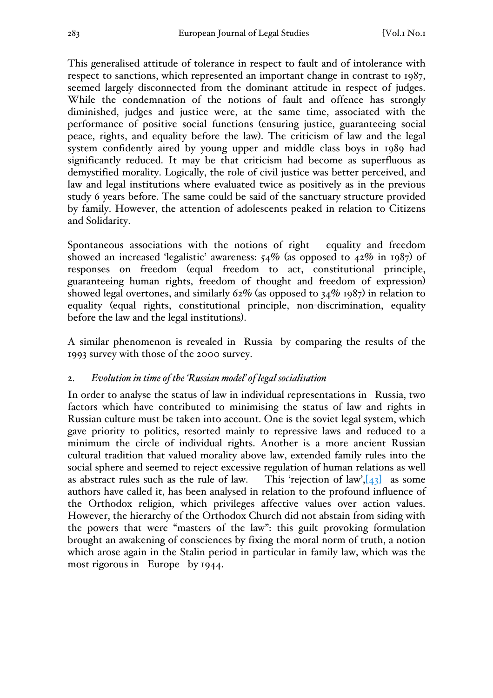This generalised attitude of tolerance in respect to fault and of intolerance with respect to sanctions, which represented an important change in contrast to 1987, seemed largely disconnected from the dominant attitude in respect of judges. While the condemnation of the notions of fault and offence has strongly diminished, judges and justice were, at the same time, associated with the performance of positive social functions (ensuring justice, guaranteeing social peace, rights, and equality before the law). The criticism of law and the legal system confidently aired by young upper and middle class boys in 1989 had significantly reduced. It may be that criticism had become as superfluous as demystified morality. Logically, the role of civil justice was better perceived, and law and legal institutions where evaluated twice as positively as in the previous study 6 years before. The same could be said of the sanctuary structure provided by family. However, the attention of adolescents peaked in relation to Citizens and Solidarity.

Spontaneous associations with the notions of right equality and freedom showed an increased 'legalistic' awareness: 54% (as opposed to 42% in 1987) of responses on freedom (equal freedom to act, constitutional principle, guaranteeing human rights, freedom of thought and freedom of expression) showed legal overtones, and similarly 62% (as opposed to 34% 1987) in relation to equality (equal rights, constitutional principle, non-discrimination, equality before the law and the legal institutions).

A similar phenomenon is revealed in Russia by comparing the results of the 1993 survey with those of the 2000 survey.

## 2. *Evolution in time of the 'Russian model' of legal socialisation*

In order to analyse the status of law in individual representations in Russia, two factors which have contributed to minimising the status of law and rights in Russian culture must be taken into account. One is the soviet legal system, which gave priority to politics, resorted mainly to repressive laws and reduced to a minimum the circle of individual rights. Another is a more ancient Russian cultural tradition that valued morality above law, extended family rules into the social sphere and seemed to reject excessive regulation of human relations as well as abstract rules such as the rule of law. This 'rejection of law', $[43]$  as some authors have called it, has been analysed in relation to the profound influence of the Orthodox religion, which privileges affective values over action values. However, the hierarchy of the Orthodox Church did not abstain from siding with the powers that were "masters of the law": this guilt provoking formulation brought an awakening of consciences by fixing the moral norm of truth, a notion which arose again in the Stalin period in particular in family law, which was the most rigorous in Europe by 1944.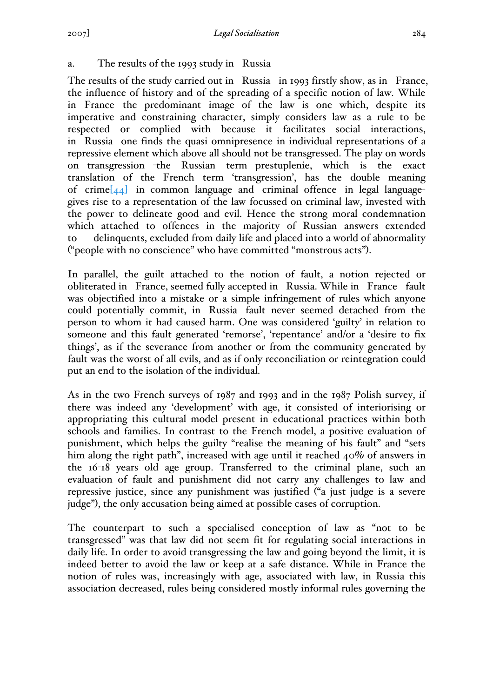# a. The results of the 1993 study in Russia

The results of the study carried out in Russia in 1993 firstly show, as in France, the influence of history and of the spreading of a specific notion of law. While in France the predominant image of the law is one which, despite its imperative and constraining character, simply considers law as a rule to be respected or complied with because it facilitates social interactions, in Russia one finds the quasi omnipresence in individual representations of a repressive element which above all should not be transgressed. The play on words on transgression -the Russian term prestuplenie, which is the exact translation of the French term 'transgression', has the double meaning of crime $[44]$  in common language and criminal offence in legal languagegives rise to a representation of the law focussed on criminal law, invested with the power to delineate good and evil. Hence the strong moral condemnation which attached to offences in the majority of Russian answers extended to delinquents, excluded from daily life and placed into a world of abnormality ("people with no conscience" who have committed "monstrous acts").

In parallel, the guilt attached to the notion of fault, a notion rejected or obliterated in France, seemed fully accepted in Russia. While in France fault was objectified into a mistake or a simple infringement of rules which anyone could potentially commit, in Russia fault never seemed detached from the person to whom it had caused harm. One was considered 'guilty' in relation to someone and this fault generated 'remorse', 'repentance' and/or a 'desire to fix things', as if the severance from another or from the community generated by fault was the worst of all evils, and as if only reconciliation or reintegration could put an end to the isolation of the individual.

As in the two French surveys of 1987 and 1993 and in the 1987 Polish survey, if there was indeed any 'development' with age, it consisted of interiorising or appropriating this cultural model present in educational practices within both schools and families. In contrast to the French model, a positive evaluation of punishment, which helps the guilty "realise the meaning of his fault" and "sets him along the right path", increased with age until it reached 40% of answers in the 16-18 years old age group. Transferred to the criminal plane, such an evaluation of fault and punishment did not carry any challenges to law and repressive justice, since any punishment was justified ("a just judge is a severe judge"), the only accusation being aimed at possible cases of corruption.

The counterpart to such a specialised conception of law as "not to be transgressed" was that law did not seem fit for regulating social interactions in daily life. In order to avoid transgressing the law and going beyond the limit, it is indeed better to avoid the law or keep at a safe distance. While in France the notion of rules was, increasingly with age, associated with law, in Russia this association decreased, rules being considered mostly informal rules governing the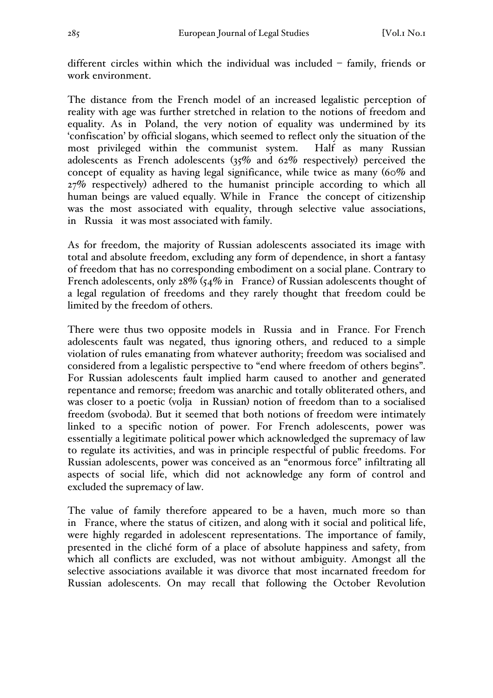different circles within which the individual was included – family, friends or work environment.

The distance from the French model of an increased legalistic perception of reality with age was further stretched in relation to the notions of freedom and equality. As in Poland, the very notion of equality was undermined by its 'confiscation' by official slogans, which seemed to reflect only the situation of the most privileged within the communist system. Half as many Russian adolescents as French adolescents (35% and 62% respectively) perceived the concept of equality as having legal significance, while twice as many (60% and 27% respectively) adhered to the humanist principle according to which all human beings are valued equally. While in France the concept of citizenship was the most associated with equality, through selective value associations, in Russia it was most associated with family.

As for freedom, the majority of Russian adolescents associated its image with total and absolute freedom, excluding any form of dependence, in short a fantasy of freedom that has no corresponding embodiment on a social plane. Contrary to French adolescents, only  $28\%$  ( $54\%$  in France) of Russian adolescents thought of a legal regulation of freedoms and they rarely thought that freedom could be limited by the freedom of others.

There were thus two opposite models in Russia and in France. For French adolescents fault was negated, thus ignoring others, and reduced to a simple violation of rules emanating from whatever authority; freedom was socialised and considered from a legalistic perspective to "end where freedom of others begins". For Russian adolescents fault implied harm caused to another and generated repentance and remorse; freedom was anarchic and totally obliterated others, and was closer to a poetic (volja in Russian) notion of freedom than to a socialised freedom (svoboda). But it seemed that both notions of freedom were intimately linked to a specific notion of power. For French adolescents, power was essentially a legitimate political power which acknowledged the supremacy of law to regulate its activities, and was in principle respectful of public freedoms. For Russian adolescents, power was conceived as an "enormous force" infiltrating all aspects of social life, which did not acknowledge any form of control and excluded the supremacy of law.

The value of family therefore appeared to be a haven, much more so than in France, where the status of citizen, and along with it social and political life, were highly regarded in adolescent representations. The importance of family, presented in the cliché form of a place of absolute happiness and safety, from which all conflicts are excluded, was not without ambiguity. Amongst all the selective associations available it was divorce that most incarnated freedom for Russian adolescents. On may recall that following the October Revolution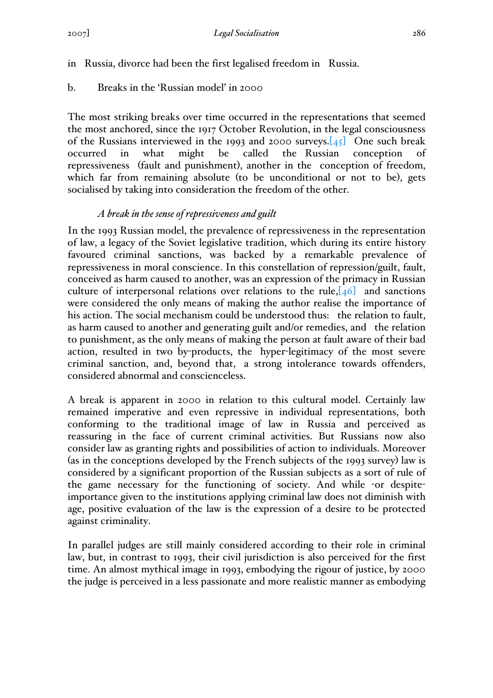in Russia, divorce had been the first legalised freedom in Russia.

b. Breaks in the 'Russian model' in 2000

The most striking breaks over time occurred in the representations that seemed the most anchored, since the 1917 October Revolution, in the legal consciousness of the Russians interviewed in the 1993 and 2000 surveys.[45] One such break occurred in what might be called the Russian conception of repressiveness (fault and punishment), another in the conception of freedom, which far from remaining absolute (to be unconditional or not to be), gets socialised by taking into consideration the freedom of the other.

# *A break in the sense of repressiveness and guilt*

In the 1993 Russian model, the prevalence of repressiveness in the representation of law, a legacy of the Soviet legislative tradition, which during its entire history favoured criminal sanctions, was backed by a remarkable prevalence of repressiveness in moral conscience. In this constellation of repression/guilt, fault, conceived as harm caused to another, was an expression of the primacy in Russian culture of interpersonal relations over relations to the rule,  $[46]$  and sanctions were considered the only means of making the author realise the importance of his action. The social mechanism could be understood thus: the relation to fault, as harm caused to another and generating guilt and/or remedies, and the relation to punishment, as the only means of making the person at fault aware of their bad action, resulted in two by-products, the hyper-legitimacy of the most severe criminal sanction, and, beyond that, a strong intolerance towards offenders, considered abnormal and conscienceless.

A break is apparent in 2000 in relation to this cultural model. Certainly law remained imperative and even repressive in individual representations, both conforming to the traditional image of law in Russia and perceived as reassuring in the face of current criminal activities. But Russians now also consider law as granting rights and possibilities of action to individuals. Moreover (as in the conceptions developed by the French subjects of the 1993 survey) law is considered by a significant proportion of the Russian subjects as a sort of rule of the game necessary for the functioning of society. And while -or despiteimportance given to the institutions applying criminal law does not diminish with age, positive evaluation of the law is the expression of a desire to be protected against criminality.

In parallel judges are still mainly considered according to their role in criminal law, but, in contrast to 1993, their civil jurisdiction is also perceived for the first time. An almost mythical image in 1993, embodying the rigour of justice, by 2000 the judge is perceived in a less passionate and more realistic manner as embodying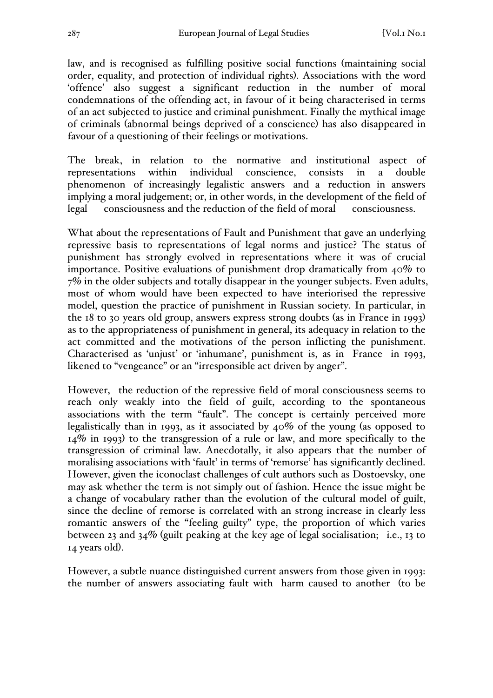law, and is recognised as fulfilling positive social functions (maintaining social order, equality, and protection of individual rights). Associations with the word 'offence' also suggest a significant reduction in the number of moral condemnations of the offending act, in favour of it being characterised in terms of an act subjected to justice and criminal punishment. Finally the mythical image of criminals (abnormal beings deprived of a conscience) has also disappeared in favour of a questioning of their feelings or motivations.

The break, in relation to the normative and institutional aspect of representations within individual conscience, consists in a double phenomenon of increasingly legalistic answers and a reduction in answers implying a moral judgement; or, in other words, in the development of the field of legal consciousness and the reduction of the field of moral consciousness.

What about the representations of Fault and Punishment that gave an underlying repressive basis to representations of legal norms and justice? The status of punishment has strongly evolved in representations where it was of crucial importance. Positive evaluations of punishment drop dramatically from 40% to 7% in the older subjects and totally disappear in the younger subjects. Even adults, most of whom would have been expected to have interiorised the repressive model, question the practice of punishment in Russian society. In particular, in the 18 to 30 years old group, answers express strong doubts (as in France in 1993) as to the appropriateness of punishment in general, its adequacy in relation to the act committed and the motivations of the person inflicting the punishment. Characterised as 'unjust' or 'inhumane', punishment is, as in France in 1993, likened to "vengeance" or an "irresponsible act driven by anger".

However, the reduction of the repressive field of moral consciousness seems to reach only weakly into the field of guilt, according to the spontaneous associations with the term "fault". The concept is certainly perceived more legalistically than in 1993, as it associated by 40% of the young (as opposed to 14% in 1993) to the transgression of a rule or law, and more specifically to the transgression of criminal law. Anecdotally, it also appears that the number of moralising associations with 'fault' in terms of 'remorse' has significantly declined. However, given the iconoclast challenges of cult authors such as Dostoevsky, one may ask whether the term is not simply out of fashion. Hence the issue might be a change of vocabulary rather than the evolution of the cultural model of guilt, since the decline of remorse is correlated with an strong increase in clearly less romantic answers of the "feeling guilty" type, the proportion of which varies between 23 and 34% (guilt peaking at the key age of legal socialisation; i.e., 13 to 14 years old).

However, a subtle nuance distinguished current answers from those given in 1993: the number of answers associating fault with harm caused to another (to be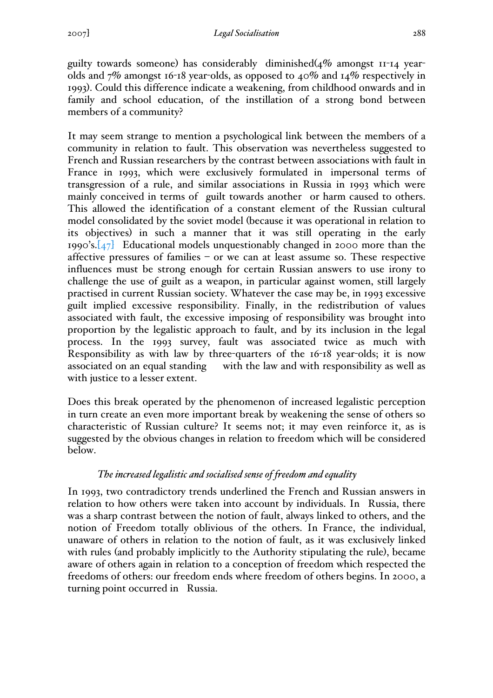guilty towards someone) has considerably diminished $(4\%$  amongst  $11$ -14 yearolds and 7% amongst 16-18 year-olds, as opposed to 40% and 14% respectively in 1993). Could this difference indicate a weakening, from childhood onwards and in family and school education, of the instillation of a strong bond between members of a community?

It may seem strange to mention a psychological link between the members of a community in relation to fault. This observation was nevertheless suggested to French and Russian researchers by the contrast between associations with fault in France in 1993, which were exclusively formulated in impersonal terms of transgression of a rule, and similar associations in Russia in 1993 which were mainly conceived in terms of guilt towards another or harm caused to others. This allowed the identification of a constant element of the Russian cultural model consolidated by the soviet model (because it was operational in relation to its objectives) in such a manner that it was still operating in the early 1990's. $[47]$  Educational models unquestionably changed in 2000 more than the affective pressures of families – or we can at least assume so. These respective influences must be strong enough for certain Russian answers to use irony to challenge the use of guilt as a weapon, in particular against women, still largely practised in current Russian society. Whatever the case may be, in 1993 excessive guilt implied excessive responsibility. Finally, in the redistribution of values associated with fault, the excessive imposing of responsibility was brought into proportion by the legalistic approach to fault, and by its inclusion in the legal process. In the 1993 survey, fault was associated twice as much with Responsibility as with law by three-quarters of the 16-18 year-olds; it is now associated on an equal standing with the law and with responsibility as well as with justice to a lesser extent.

Does this break operated by the phenomenon of increased legalistic perception in turn create an even more important break by weakening the sense of others so characteristic of Russian culture? It seems not; it may even reinforce it, as is suggested by the obvious changes in relation to freedom which will be considered below.

# *The increased legalistic and socialised sense of freedom and equality*

In 1993, two contradictory trends underlined the French and Russian answers in relation to how others were taken into account by individuals. In Russia, there was a sharp contrast between the notion of fault, always linked to others, and the notion of Freedom totally oblivious of the others. In France, the individual, unaware of others in relation to the notion of fault, as it was exclusively linked with rules (and probably implicitly to the Authority stipulating the rule), became aware of others again in relation to a conception of freedom which respected the freedoms of others: our freedom ends where freedom of others begins. In 2000, a turning point occurred in Russia.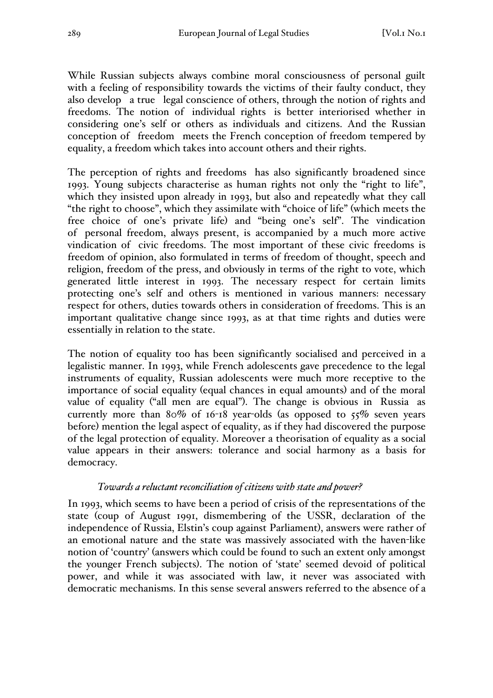While Russian subjects always combine moral consciousness of personal guilt with a feeling of responsibility towards the victims of their faulty conduct, they also develop a true legal conscience of others, through the notion of rights and freedoms. The notion of individual rights is better interiorised whether in considering one's self or others as individuals and citizens. And the Russian conception of freedom meets the French conception of freedom tempered by equality, a freedom which takes into account others and their rights.

The perception of rights and freedoms has also significantly broadened since 1993. Young subjects characterise as human rights not only the "right to life", which they insisted upon already in 1993, but also and repeatedly what they call "the right to choose", which they assimilate with "choice of life" (which meets the free choice of one's private life) and "being one's self". The vindication of personal freedom, always present, is accompanied by a much more active vindication of civic freedoms. The most important of these civic freedoms is freedom of opinion, also formulated in terms of freedom of thought, speech and religion, freedom of the press, and obviously in terms of the right to vote, which generated little interest in 1993. The necessary respect for certain limits protecting one's self and others is mentioned in various manners: necessary respect for others, duties towards others in consideration of freedoms. This is an important qualitative change since 1993, as at that time rights and duties were essentially in relation to the state.

The notion of equality too has been significantly socialised and perceived in a legalistic manner. In 1993, while French adolescents gave precedence to the legal instruments of equality, Russian adolescents were much more receptive to the importance of social equality (equal chances in equal amounts) and of the moral value of equality ("all men are equal"). The change is obvious in Russia as currently more than 80% of 16-18 year-olds (as opposed to  $5\%$  seven years before) mention the legal aspect of equality, as if they had discovered the purpose of the legal protection of equality. Moreover a theorisation of equality as a social value appears in their answers: tolerance and social harmony as a basis for democracy.

## *Towards a reluctant reconciliation of citizens with state and power?*

In 1993, which seems to have been a period of crisis of the representations of the state (coup of August 1991, dismembering of the USSR, declaration of the independence of Russia, Elstin's coup against Parliament), answers were rather of an emotional nature and the state was massively associated with the haven-like notion of 'country' (answers which could be found to such an extent only amongst the younger French subjects). The notion of 'state' seemed devoid of political power, and while it was associated with law, it never was associated with democratic mechanisms. In this sense several answers referred to the absence of a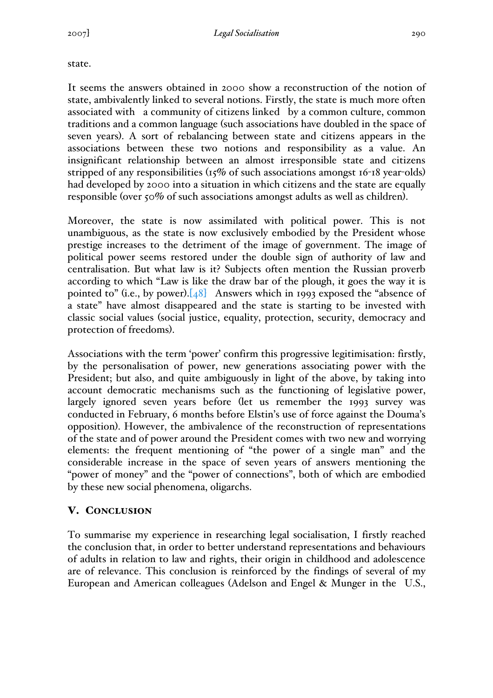state.

It seems the answers obtained in 2000 show a reconstruction of the notion of state, ambivalently linked to several notions. Firstly, the state is much more often associated with a community of citizens linked by a common culture, common traditions and a common language (such associations have doubled in the space of seven years). A sort of rebalancing between state and citizens appears in the associations between these two notions and responsibility as a value. An insignificant relationship between an almost irresponsible state and citizens stripped of any responsibilities (15% of such associations amongst 16-18 year-olds) had developed by 2000 into a situation in which citizens and the state are equally responsible (over 50% of such associations amongst adults as well as children).

Moreover, the state is now assimilated with political power. This is not unambiguous, as the state is now exclusively embodied by the President whose prestige increases to the detriment of the image of government. The image of political power seems restored under the double sign of authority of law and centralisation. But what law is it? Subjects often mention the Russian proverb according to which "Law is like the draw bar of the plough, it goes the way it is pointed to" (i.e., by power). $[48]$  Answers which in 1993 exposed the "absence of a state" have almost disappeared and the state is starting to be invested with classic social values (social justice, equality, protection, security, democracy and protection of freedoms).

Associations with the term 'power' confirm this progressive legitimisation: firstly, by the personalisation of power, new generations associating power with the President; but also, and quite ambiguously in light of the above, by taking into account democratic mechanisms such as the functioning of legislative power, largely ignored seven years before (let us remember the 1993 survey was conducted in February, 6 months before Elstin's use of force against the Douma's opposition). However, the ambivalence of the reconstruction of representations of the state and of power around the President comes with two new and worrying elements: the frequent mentioning of "the power of a single man" and the considerable increase in the space of seven years of answers mentioning the "power of money" and the "power of connections", both of which are embodied by these new social phenomena, oligarchs.

# V. CONCLUSION

To summarise my experience in researching legal socialisation, I firstly reached the conclusion that, in order to better understand representations and behaviours of adults in relation to law and rights, their origin in childhood and adolescence are of relevance. This conclusion is reinforced by the findings of several of my European and American colleagues (Adelson and Engel & Munger in the U.S.,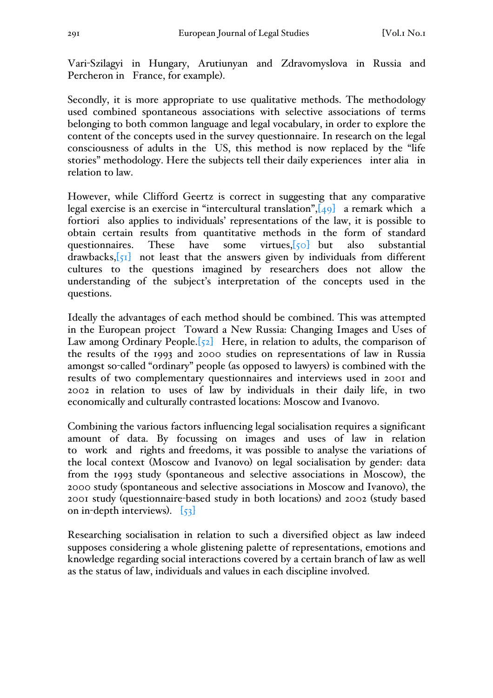Vari-Szilagyi in Hungary, Arutiunyan and Zdravomyslova in Russia and Percheron in France, for example).

Secondly, it is more appropriate to use qualitative methods. The methodology used combined spontaneous associations with selective associations of terms belonging to both common language and legal vocabulary, in order to explore the content of the concepts used in the survey questionnaire. In research on the legal consciousness of adults in the US, this method is now replaced by the "life stories" methodology. Here the subjects tell their daily experiences inter alia in relation to law.

However, while Clifford Geertz is correct in suggesting that any comparative legal exercise is an exercise in "intercultural translation", $[49]$  a remark which a fortiori also applies to individuals' representations of the law, it is possible to obtain certain results from quantitative methods in the form of standard questionnaires. These have some virtues,[50] but also substantial drawbacks, $\left[\frac{51}{1}\right]$  not least that the answers given by individuals from different cultures to the questions imagined by researchers does not allow the understanding of the subject's interpretation of the concepts used in the questions.

Ideally the advantages of each method should be combined. This was attempted in the European project Toward a New Russia: Changing Images and Uses of Law among Ordinary People. $[52]$  Here, in relation to adults, the comparison of the results of the 1993 and 2000 studies on representations of law in Russia amongst so-called "ordinary" people (as opposed to lawyers) is combined with the results of two complementary questionnaires and interviews used in 2001 and 2002 in relation to uses of law by individuals in their daily life, in two economically and culturally contrasted locations: Moscow and Ivanovo.

Combining the various factors influencing legal socialisation requires a significant amount of data. By focussing on images and uses of law in relation to work and rights and freedoms, it was possible to analyse the variations of the local context (Moscow and Ivanovo) on legal socialisation by gender: data from the 1993 study (spontaneous and selective associations in Moscow), the 2000 study (spontaneous and selective associations in Moscow and Ivanovo), the 2001 study (questionnaire-based study in both locations) and 2002 (study based on in-depth interviews).  $\begin{bmatrix} 53 \end{bmatrix}$ 

Researching socialisation in relation to such a diversified object as law indeed supposes considering a whole glistening palette of representations, emotions and knowledge regarding social interactions covered by a certain branch of law as well as the status of law, individuals and values in each discipline involved.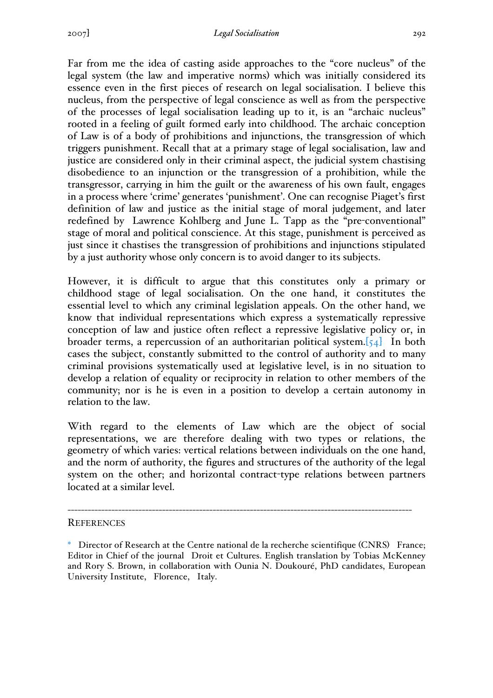Far from me the idea of casting aside approaches to the "core nucleus" of the legal system (the law and imperative norms) which was initially considered its essence even in the first pieces of research on legal socialisation. I believe this nucleus, from the perspective of legal conscience as well as from the perspective of the processes of legal socialisation leading up to it, is an "archaic nucleus" rooted in a feeling of guilt formed early into childhood. The archaic conception of Law is of a body of prohibitions and injunctions, the transgression of which triggers punishment. Recall that at a primary stage of legal socialisation, law and justice are considered only in their criminal aspect, the judicial system chastising disobedience to an injunction or the transgression of a prohibition, while the transgressor, carrying in him the guilt or the awareness of his own fault, engages in a process where 'crime' generates 'punishment'. One can recognise Piaget's first definition of law and justice as the initial stage of moral judgement, and later redefined by Lawrence Kohlberg and June L. Tapp as the "pre-conventional" stage of moral and political conscience. At this stage, punishment is perceived as just since it chastises the transgression of prohibitions and injunctions stipulated by a just authority whose only concern is to avoid danger to its subjects.

However, it is difficult to argue that this constitutes only a primary or childhood stage of legal socialisation. On the one hand, it constitutes the essential level to which any criminal legislation appeals. On the other hand, we know that individual representations which express a systematically repressive conception of law and justice often reflect a repressive legislative policy or, in broader terms, a repercussion of an authoritarian political system.[54] In both cases the subject, constantly submitted to the control of authority and to many criminal provisions systematically used at legislative level, is in no situation to develop a relation of equality or reciprocity in relation to other members of the community; nor is he is even in a position to develop a certain autonomy in relation to the law.

With regard to the elements of Law which are the object of social representations, we are therefore dealing with two types or relations, the geometry of which varies: vertical relations between individuals on the one hand, and the norm of authority, the figures and structures of the authority of the legal system on the other; and horizontal contract-type relations between partners located at a similar level.

#### **REFERENCES**

------------------------------------------------------------------------------------------------------

<sup>\*</sup> Director of Research at the Centre national de la recherche scientifique (CNRS) France; Editor in Chief of the journal Droit et Cultures. English translation by Tobias McKenney and Rory S. Brown, in collaboration with Ounia N. Doukouré, PhD candidates, European University Institute, Florence, Italy.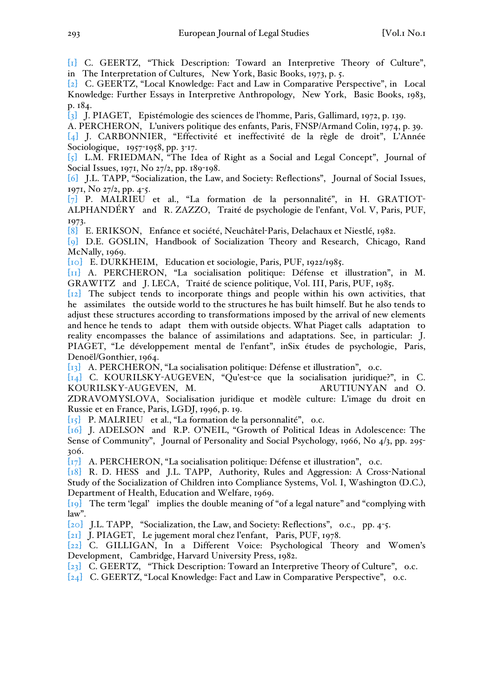[1] C. GEERTZ, "Thick Description: Toward an Interpretive Theory of Culture", in The Interpretation of Cultures, New York, Basic Books, 1973, p. 5.

[2] C. GEERTZ, "Local Knowledge: Fact and Law in Comparative Perspective", in Local Knowledge: Further Essays in Interpretive Anthropology, New York, Basic Books, 1983, p. 184.

[3] J. PIAGET, Epistémologie des sciences de l'homme, Paris, Gallimard, 1972, p. 139.

A. PERCHERON, L'univers politique des enfants, Paris, FNSP/Armand Colin, 1974, p. 39. [4] J. CARBONNIER, "Effectivité et ineffectivité de la règle de droit", L'Année Sociologique, 1957-1958, pp. 3-17.

[5] L.M. FRIEDMAN, "The Idea of Right as a Social and Legal Concept", Journal of Social Issues, 1971, No 27/2, pp. 189-198.

[6] J.L. TAPP, "Socialization, the Law, and Society: Reflections", Journal of Social Issues, 1971, No 27/2, pp. 4-5.

[7] P. MALRIEU et al., "La formation de la personnalité", in H. GRATIOT-ALPHANDÉRY and R. ZAZZO, Traité de psychologie de l'enfant, Vol. V, Paris, PUF, 1973.

[8] E. ERIKSON, Enfance et société, Neuchâtel-Paris, Delachaux et Niestlé, 1982.

[9] D.E. GOSLIN, Handbook of Socialization Theory and Research, Chicago, Rand McNally, 1969.

[10] E. DURKHEIM, Education et sociologie, Paris, PUF, 1922/1985.

[11] A. PERCHERON, "La socialisation politique: Défense et illustration", in M. GRAWITZ and J. LECA, Traité de science politique, Vol. III, Paris, PUF, 1985.

[12] The subject tends to incorporate things and people within his own activities, that he assimilates the outside world to the structures he has built himself. But he also tends to adjust these structures according to transformations imposed by the arrival of new elements and hence he tends to adapt them with outside objects. What Piaget calls adaptation to reality encompasses the balance of assimilations and adaptations. See, in particular: J. PIAGET, "Le développement mental de l'enfant", inSix études de psychologie, Paris, Denoël/Gonthier, 1964.

[13] A. PERCHERON, "La socialisation politique: Défense et illustration", o.c.

[14] C. KOURILSKY-AUGEVEN, "Qu'est-ce que la socialisation juridique?", in C. KOURILSKY-AUGEVEN, M. ARUTIUNYAN and O.

ZDRAVOMYSLOVA, Socialisation juridique et modèle culture: L'image du droit en Russie et en France, Paris, LGDJ, 1996, p. 19.

[15] P. MALRIEU et al., "La formation de la personnalité", o.c.

[16] J. ADELSON and R.P. O'NEIL, "Growth of Political Ideas in Adolescence: The Sense of Community", Journal of Personality and Social Psychology, 1966, No 4/3, pp. 295-306.

 $\begin{bmatrix} 17 \end{bmatrix}$  A. PERCHERON, "La socialisation politique: Défense et illustration", o.c.

[18] R. D. HESS and J.L. TAPP, Authority, Rules and Aggression: A Cross-National Study of the Socialization of Children into Compliance Systems, Vol. I, Washington (D.C.), Department of Health, Education and Welfare, 1969.

[19] The term 'legal' implies the double meaning of "of a legal nature" and "complying with law".

[20] J.L. TAPP, "Socialization, the Law, and Society: Reflections", o.c., pp. 4-5.

[21] J. PIAGET, Le jugement moral chez l'enfant, Paris, PUF, 1978.

[22] C. GILLIGAN, In a Different Voice: Psychological Theory and Women's Development, Cambridge, Harvard University Press, 1982.

[23] C. GEERTZ, "Thick Description: Toward an Interpretive Theory of Culture", o.c.

[24] C. GEERTZ, "Local Knowledge: Fact and Law in Comparative Perspective", o.c.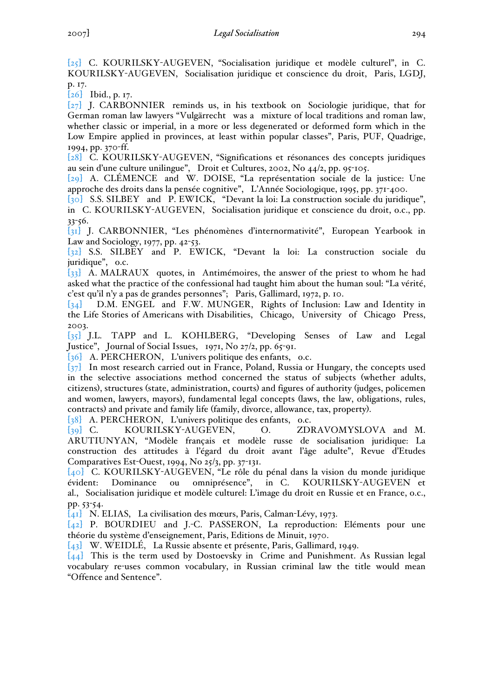[25] C. KOURILSKY-AUGEVEN, "Socialisation juridique et modèle culturel", in C. KOURILSKY-AUGEVEN, Socialisation juridique et conscience du droit, Paris, LGDJ, p. 17.

[26] Ibid., p. 17.

[27] J. CARBONNIER reminds us, in his textbook on Sociologie juridique, that for German roman law lawyers "Vulgärrecht was a mixture of local traditions and roman law, whether classic or imperial, in a more or less degenerated or deformed form which in the Low Empire applied in provinces, at least within popular classes", Paris, PUF, Quadrige, 1994, pp. 370-ff.

[28] C. KOURILSKY-AUGEVEN, "Significations et résonances des concepts juridiques au sein d'une culture unilingue", Droit et Cultures, 2002, No 44/2, pp. 95-105.

[29] A. CLÉMENCE and W. DOISE, "La représentation sociale de la justice: Une approche des droits dans la pensée cognitive", L'Année Sociologique, 1995, pp. 371-400.

[30] S.S. SILBEY and P. EWICK, "Devant la loi: La construction sociale du juridique", in C. KOURILSKY-AUGEVEN, Socialisation juridique et conscience du droit, o.c., pp. 33-56.

[31] J. CARBONNIER, "Les phénomènes d'internormativité", European Yearbook in Law and Sociology, 1977, pp. 42-53.

[32] S.S. SILBEY and P. EWICK, "Devant la loi: La construction sociale du juridique", o.c.

[33] A. MALRAUX quotes, in Antimémoires, the answer of the priest to whom he had asked what the practice of the confessional had taught him about the human soul: "La vérité, c'est qu'il n'y a pas de grandes personnes"; Paris, Gallimard, 1972, p. 10.

[34] D.M. ENGEL and F.W. MUNGER, Rights of Inclusion: Law and Identity in the Life Stories of Americans with Disabilities, Chicago, University of Chicago Press, 2003.

[35] J.L. TAPP and L. KOHLBERG, "Developing Senses of Law and Legal Justice", Journal of Social Issues,  $1971$ , No  $27/2$ , pp. 65-91.

[36] A. PERCHERON, L'univers politique des enfants, o.c.

[37] In most research carried out in France, Poland, Russia or Hungary, the concepts used in the selective associations method concerned the status of subjects (whether adults, citizens), structures (state, administration, courts) and figures of authority (judges, policemen and women, lawyers, mayors), fundamental legal concepts (laws, the law, obligations, rules, contracts) and private and family life (family, divorce, allowance, tax, property).

[38] A. PERCHERON, L'univers politique des enfants, o.c.

[39] C. KOURILSKY-AUGEVEN, O. ZDRAVOMYSLOVA and M. ARUTIUNYAN, "Modèle français et modèle russe de socialisation juridique: La construction des attitudes à l'égard du droit avant l'âge adulte", Revue d'Etudes Comparatives Est-Ouest, 1994, No 25/3, pp. 37-131.

[40] C. KOURILSKY-AUGEVEN, "Le rôle du pénal dans la vision du monde juridique évident: Dominance ou omniprésence", in C. KOURILSKY-AUGEVEN et al., Socialisation juridique et modèle culturel: L'image du droit en Russie et en France, o.c., pp. 53-54.

[41] N. ELIAS, La civilisation des mœurs, Paris, Calman-Lévy, 1973.

[42] P. BOURDIEU and J.-C. PASSERON, La reproduction: Eléments pour une théorie du système d'enseignement, Paris, Editions de Minuit, 1970.

[43] W. WEIDLÉ, La Russie absente et présente, Paris, Gallimard, 1949.

[44] This is the term used by Dostoevsky in Crime and Punishment. As Russian legal vocabulary re-uses common vocabulary, in Russian criminal law the title would mean "Offence and Sentence".